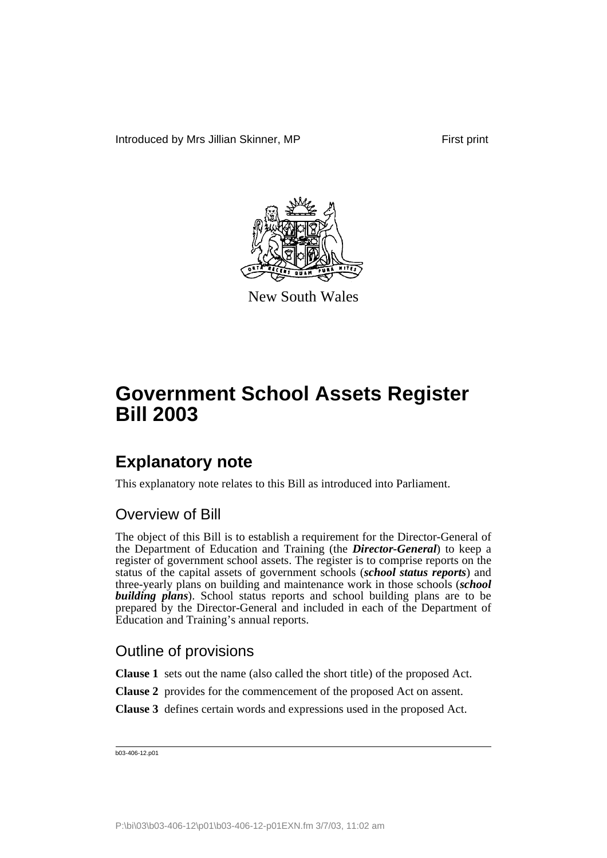

New South Wales

# **Government School Assets Register Bill 2003**

### **Explanatory note**

This explanatory note relates to this Bill as introduced into Parliament.

#### Overview of Bill

The object of this Bill is to establish a requirement for the Director-General of the Department of Education and Training (the *Director-General*) to keep a register of government school assets. The register is to comprise reports on the status of the capital assets of government schools (*school status reports*) and three-yearly plans on building and maintenance work in those schools (*school building plans*). School status reports and school building plans are to be prepared by the Director-General and included in each of the Department of Education and Training's annual reports.

#### Outline of provisions

**Clause 1** sets out the name (also called the short title) of the proposed Act.

**Clause 2** provides for the commencement of the proposed Act on assent.

**Clause 3** defines certain words and expressions used in the proposed Act.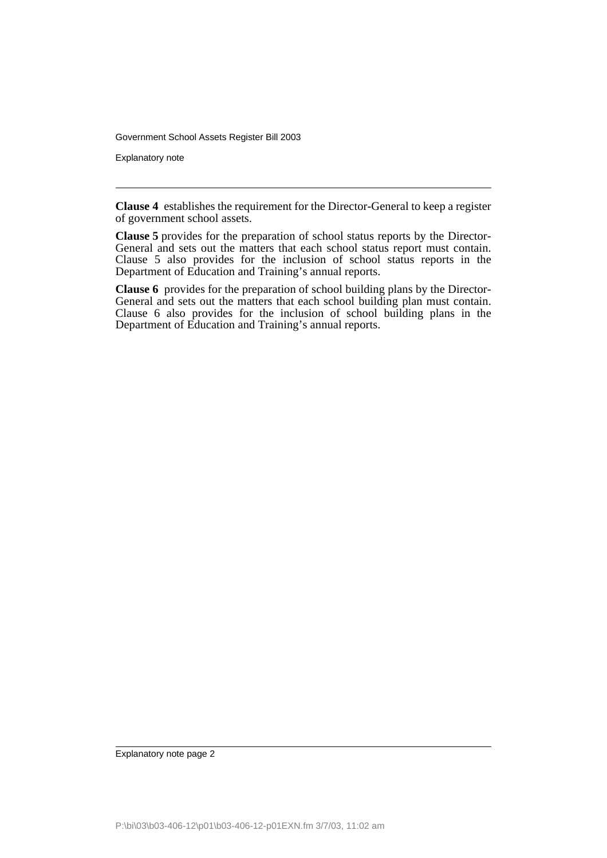Government School Assets Register Bill 2003

Explanatory note

**Clause 4** establishes the requirement for the Director-General to keep a register of government school assets.

**Clause 5** provides for the preparation of school status reports by the Director-General and sets out the matters that each school status report must contain. Clause 5 also provides for the inclusion of school status reports in the Department of Education and Training's annual reports.

**Clause 6** provides for the preparation of school building plans by the Director-General and sets out the matters that each school building plan must contain. Clause 6 also provides for the inclusion of school building plans in the Department of Education and Training's annual reports.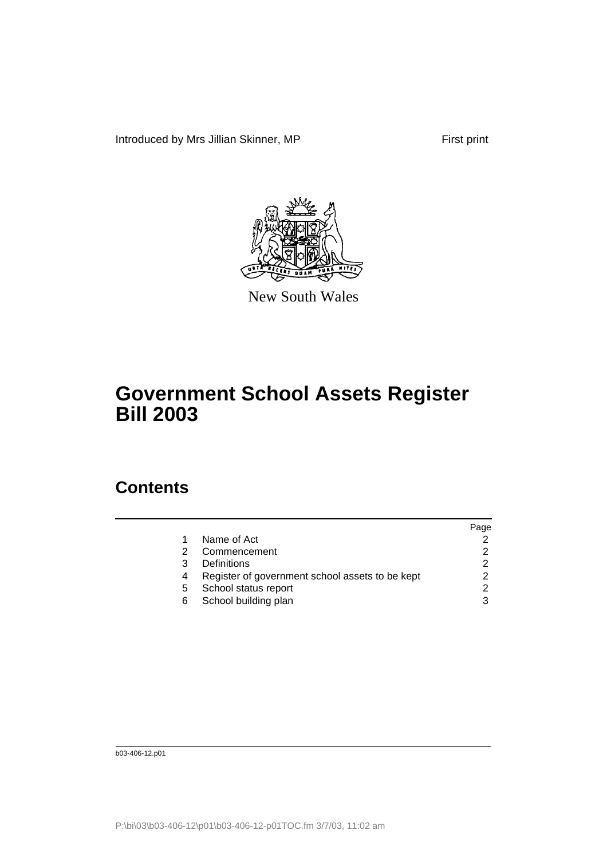Introduced by Mrs Jillian Skinner, MP First print



New South Wales

## **Government School Assets Register Bill 2003**

#### **Contents**

|    |                                                 | Page |
|----|-------------------------------------------------|------|
|    | Name of Act                                     |      |
|    | Commencement                                    |      |
| 3  | Definitions                                     |      |
|    | Register of government school assets to be kept |      |
| 5. | School status report                            |      |
| 6  | School building plan                            |      |
|    |                                                 |      |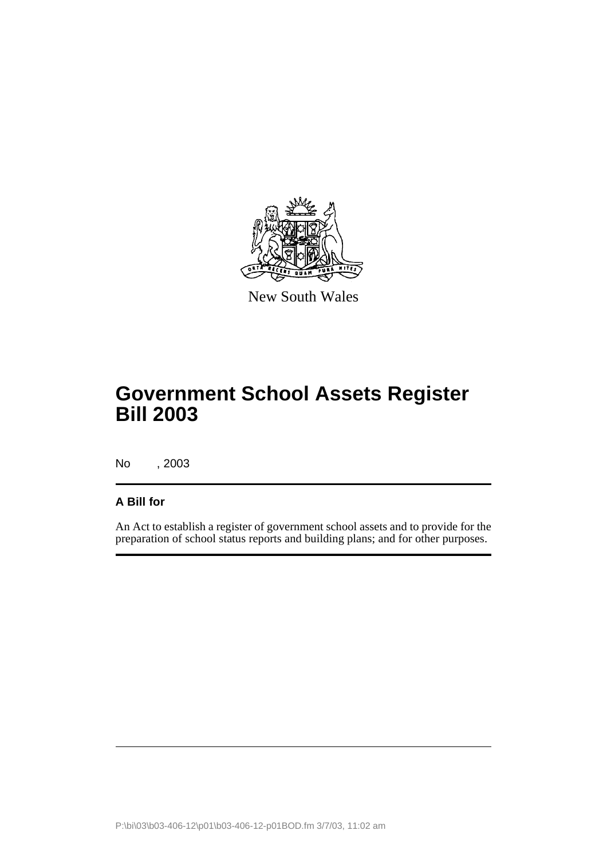

New South Wales

## **Government School Assets Register Bill 2003**

No , 2003

#### **A Bill for**

An Act to establish a register of government school assets and to provide for the preparation of school status reports and building plans; and for other purposes.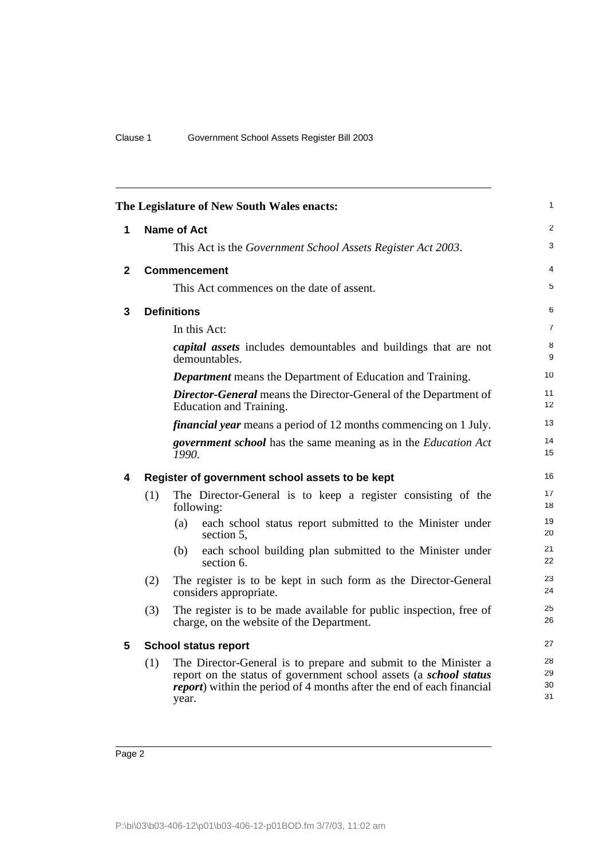<span id="page-5-4"></span><span id="page-5-3"></span><span id="page-5-2"></span><span id="page-5-1"></span><span id="page-5-0"></span>

| $\mathbf{1}$<br>The Legislature of New South Wales enacts: |     |                                                                                                                                                                                                                                |                      |  |
|------------------------------------------------------------|-----|--------------------------------------------------------------------------------------------------------------------------------------------------------------------------------------------------------------------------------|----------------------|--|
| 1                                                          |     | <b>Name of Act</b>                                                                                                                                                                                                             | 2                    |  |
|                                                            |     | This Act is the Government School Assets Register Act 2003.                                                                                                                                                                    | 3                    |  |
| $\mathbf{2}$                                               |     | <b>Commencement</b>                                                                                                                                                                                                            | 4                    |  |
|                                                            |     | This Act commences on the date of assent.                                                                                                                                                                                      | 5                    |  |
| 3                                                          |     | <b>Definitions</b>                                                                                                                                                                                                             | 6                    |  |
|                                                            |     | In this Act:                                                                                                                                                                                                                   | $\overline{7}$       |  |
|                                                            |     | <i>capital assets</i> includes demountables and buildings that are not<br>demountables.                                                                                                                                        | 8<br>9               |  |
|                                                            |     | <b>Department</b> means the Department of Education and Training.                                                                                                                                                              | 10                   |  |
|                                                            |     | <b>Director-General</b> means the Director-General of the Department of<br>Education and Training.                                                                                                                             | 11<br>12             |  |
|                                                            |     | <i>financial year</i> means a period of 12 months commencing on 1 July.                                                                                                                                                        | 13                   |  |
|                                                            |     | <i>government school</i> has the same meaning as in the <i>Education Act</i><br>1990.                                                                                                                                          | 14<br>15             |  |
| 4                                                          |     | Register of government school assets to be kept                                                                                                                                                                                | 16                   |  |
|                                                            | (1) | The Director-General is to keep a register consisting of the<br>following:                                                                                                                                                     | 17<br>18             |  |
|                                                            |     | each school status report submitted to the Minister under<br>(a)<br>section 5,                                                                                                                                                 | 19<br>20             |  |
|                                                            |     | each school building plan submitted to the Minister under<br>(b)<br>section 6.                                                                                                                                                 | 21<br>22             |  |
|                                                            | (2) | The register is to be kept in such form as the Director-General<br>considers appropriate.                                                                                                                                      | 23<br>24             |  |
|                                                            | (3) | The register is to be made available for public inspection, free of<br>charge, on the website of the Department.                                                                                                               | 25<br>26             |  |
| 5                                                          |     | <b>School status report</b>                                                                                                                                                                                                    | 27                   |  |
|                                                            | (1) | The Director-General is to prepare and submit to the Minister a<br>report on the status of government school assets (a school status<br><i>report</i> ) within the period of 4 months after the end of each financial<br>year. | 28<br>29<br>30<br>31 |  |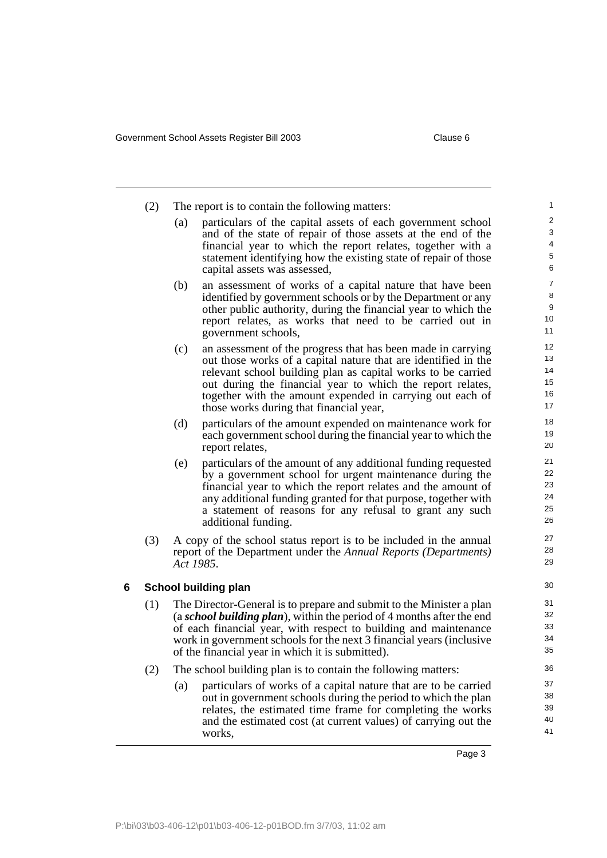<span id="page-6-0"></span>

|   | (2) |                                                                                                                                                                                                                                                                                                                                               | The report is to contain the following matters:                                                                                                                                                                                                                                                                                                                      | 1                                           |
|---|-----|-----------------------------------------------------------------------------------------------------------------------------------------------------------------------------------------------------------------------------------------------------------------------------------------------------------------------------------------------|----------------------------------------------------------------------------------------------------------------------------------------------------------------------------------------------------------------------------------------------------------------------------------------------------------------------------------------------------------------------|---------------------------------------------|
|   |     | (a)                                                                                                                                                                                                                                                                                                                                           | particulars of the capital assets of each government school<br>and of the state of repair of those assets at the end of the<br>financial year to which the report relates, together with a<br>statement identifying how the existing state of repair of those<br>capital assets was assessed,                                                                        | $\overline{\mathbf{c}}$<br>3<br>4<br>5<br>6 |
|   |     | (b)                                                                                                                                                                                                                                                                                                                                           | an assessment of works of a capital nature that have been<br>identified by government schools or by the Department or any<br>other public authority, during the financial year to which the<br>report relates, as works that need to be carried out in<br>government schools,                                                                                        | 7<br>8<br>9<br>10<br>11                     |
|   |     | (c)                                                                                                                                                                                                                                                                                                                                           | an assessment of the progress that has been made in carrying<br>out those works of a capital nature that are identified in the<br>relevant school building plan as capital works to be carried<br>out during the financial year to which the report relates,<br>together with the amount expended in carrying out each of<br>those works during that financial year, | 12<br>13<br>14<br>15<br>16<br>17            |
|   |     | (d)                                                                                                                                                                                                                                                                                                                                           | particulars of the amount expended on maintenance work for<br>each government school during the financial year to which the<br>report relates,                                                                                                                                                                                                                       | 18<br>19<br>20                              |
|   |     | (e)                                                                                                                                                                                                                                                                                                                                           | particulars of the amount of any additional funding requested<br>by a government school for urgent maintenance during the<br>financial year to which the report relates and the amount of<br>any additional funding granted for that purpose, together with<br>a statement of reasons for any refusal to grant any such<br>additional funding.                       | 21<br>22<br>23<br>24<br>25<br>26            |
|   | (3) |                                                                                                                                                                                                                                                                                                                                               | A copy of the school status report is to be included in the annual<br>report of the Department under the Annual Reports (Departments)<br>Act 1985.                                                                                                                                                                                                                   | 27<br>28<br>29                              |
| 6 |     |                                                                                                                                                                                                                                                                                                                                               | School building plan                                                                                                                                                                                                                                                                                                                                                 | 30                                          |
|   | (1) | The Director-General is to prepare and submit to the Minister a plan<br>(a school building plan), within the period of 4 months after the end<br>of each financial year, with respect to building and maintenance<br>work in government schools for the next 3 financial years (inclusive<br>of the financial year in which it is submitted). |                                                                                                                                                                                                                                                                                                                                                                      | 31<br>32<br>33<br>34<br>35                  |
|   | (2) |                                                                                                                                                                                                                                                                                                                                               | The school building plan is to contain the following matters:                                                                                                                                                                                                                                                                                                        | 36                                          |
|   |     | (a)                                                                                                                                                                                                                                                                                                                                           | particulars of works of a capital nature that are to be carried<br>out in government schools during the period to which the plan<br>relates, the estimated time frame for completing the works<br>and the estimated cost (at current values) of carrying out the<br>works,                                                                                           | 37<br>38<br>39<br>40<br>41                  |